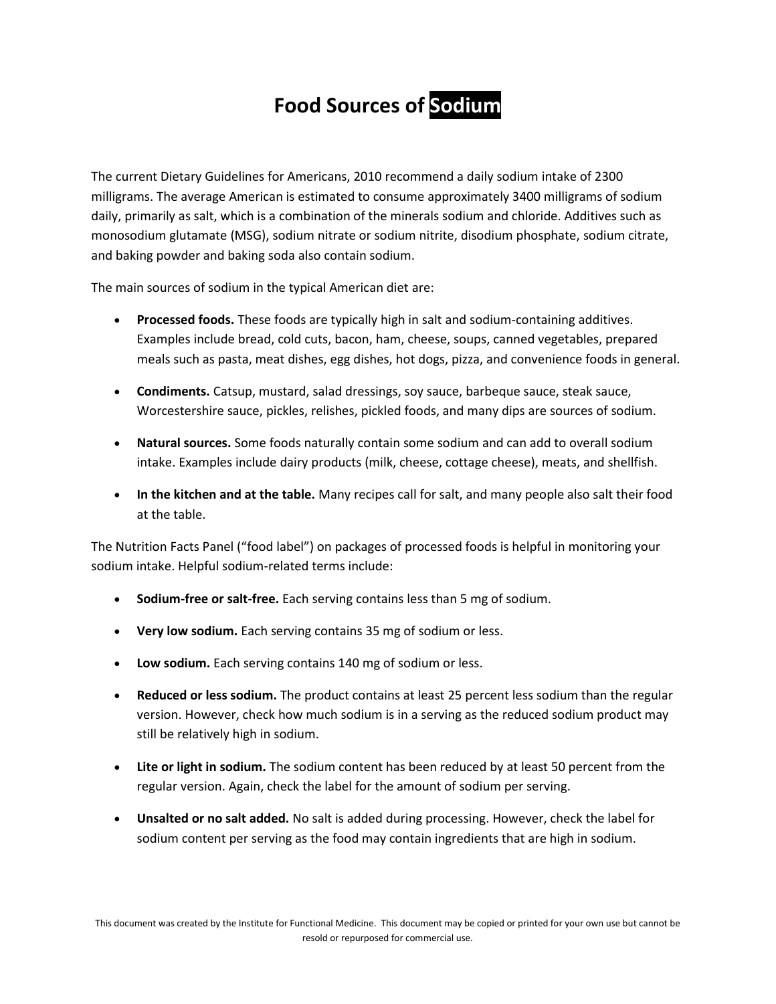## **Food Sources of Sodium**

The current Dietary Guidelines for Americans, 2010 recommend a daily sodium intake of 2300 milligrams. The average American is estimated to consume approximately 3400 milligrams of sodium daily, primarily as salt, which is a combination of the minerals sodium and chloride. Additives such as monosodium glutamate (MSG), sodium nitrate or sodium nitrite, disodium phosphate, sodium citrate, and baking powder and baking soda also contain sodium.

The main sources of sodium in the typical American diet are:

- **Processed foods.** These foods are typically high in salt and sodium-containing additives. Examples include bread, cold cuts, bacon, ham, cheese, soups, canned vegetables, prepared meals such as pasta, meat dishes, egg dishes, hot dogs, pizza, and convenience foods in general.
- **Condiments.** Catsup, mustard, salad dressings, soy sauce, barbeque sauce, steak sauce, Worcestershire sauce, pickles, relishes, pickled foods, and many dips are sources of sodium.
- **Natural sources.** Some foods naturally contain some sodium and can add to overall sodium intake. Examples include dairy products (milk, cheese, cottage cheese), meats, and shellfish.
- **In the kitchen and at the table.** Many recipes call for salt, and many people also salt their food at the table.

The Nutrition Facts Panel ("food label") on packages of processed foods is helpful in monitoring your sodium intake. Helpful sodium-related terms include:

- **Sodium-free or salt-free.** Each serving contains less than 5 mg of sodium.
- **Very low sodium.** Each serving contains 35 mg of sodium or less.
- **Low sodium.** Each serving contains 140 mg of sodium or less.
- **Reduced or less sodium.** The product contains at least 25 percent less sodium than the regular version. However, check how much sodium is in a serving as the reduced sodium product may still be relatively high in sodium.
- **Lite or light in sodium.** The sodium content has been reduced by at least 50 percent from the regular version. Again, check the label for the amount of sodium per serving.
- **Unsalted or no salt added.** No salt is added during processing. However, check the label for sodium content per serving as the food may contain ingredients that are high in sodium.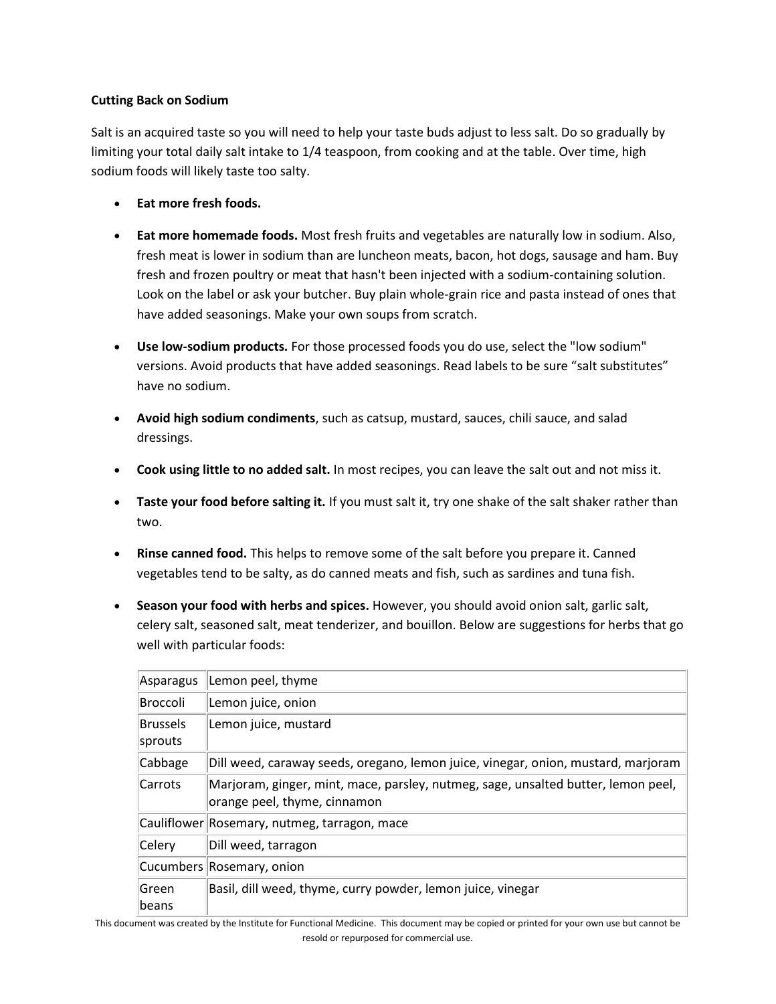## **Cutting Back on Sodium**

Salt is an acquired taste so you will need to help your taste buds adjust to less salt. Do so gradually by limiting your total daily salt intake to 1/4 teaspoon, from cooking and at the table. Over time, high sodium foods will likely taste too salty.

- **Eat more fresh foods.**
- **Eat more homemade foods.** Most fresh fruits and vegetables are naturally low in sodium. Also, fresh meat is lower in sodium than are luncheon meats, bacon, hot dogs, sausage and ham. Buy fresh and frozen poultry or meat that hasn't been injected with a sodium-containing solution. Look on the label or ask your butcher. Buy plain whole-grain rice and pasta instead of ones that have added seasonings. Make your own soups from scratch.
- **Use low-sodium products.** For those processed foods you do use, select the "low sodium" versions. Avoid products that have added seasonings. Read labels to be sure "salt substitutes" have no sodium.
- **Avoid high sodium condiments**, such as catsup, mustard, sauces, chili sauce, and salad dressings.
- **Cook using little to no added salt.** In most recipes, you can leave the salt out and not miss it.
- **Taste your food before salting it.** If you must salt it, try one shake of the salt shaker rather than two.
- **Rinse canned food.** This helps to remove some of the salt before you prepare it. Canned vegetables tend to be salty, as do canned meats and fish, such as sardines and tuna fish.
- **Season your food with herbs and spices.** However, you should avoid onion salt, garlic salt, celery salt, seasoned salt, meat tenderizer, and bouillon. Below are suggestions for herbs that go well with particular foods:

| Asparagus                  | Lemon peel, thyme                                                                                                 |
|----------------------------|-------------------------------------------------------------------------------------------------------------------|
| <b>Broccoli</b>            | Lemon juice, onion                                                                                                |
| <b>Brussels</b><br>sprouts | Lemon juice, mustard                                                                                              |
| Cabbage                    | Dill weed, caraway seeds, oregano, lemon juice, vinegar, onion, mustard, marjoram                                 |
| Carrots                    | Marjoram, ginger, mint, mace, parsley, nutmeg, sage, unsalted butter, lemon peel,<br>orange peel, thyme, cinnamon |
|                            | Cauliflower Rosemary, nutmeg, tarragon, mace                                                                      |
| Celery                     | Dill weed, tarragon                                                                                               |
|                            | Cucumbers Rosemary, onion                                                                                         |
| Green<br>beans             | Basil, dill weed, thyme, curry powder, lemon juice, vinegar                                                       |

This document was created by the Institute for Functional Medicine. This document may be copied or printed for your own use but cannot be resold or repurposed for commercial use.